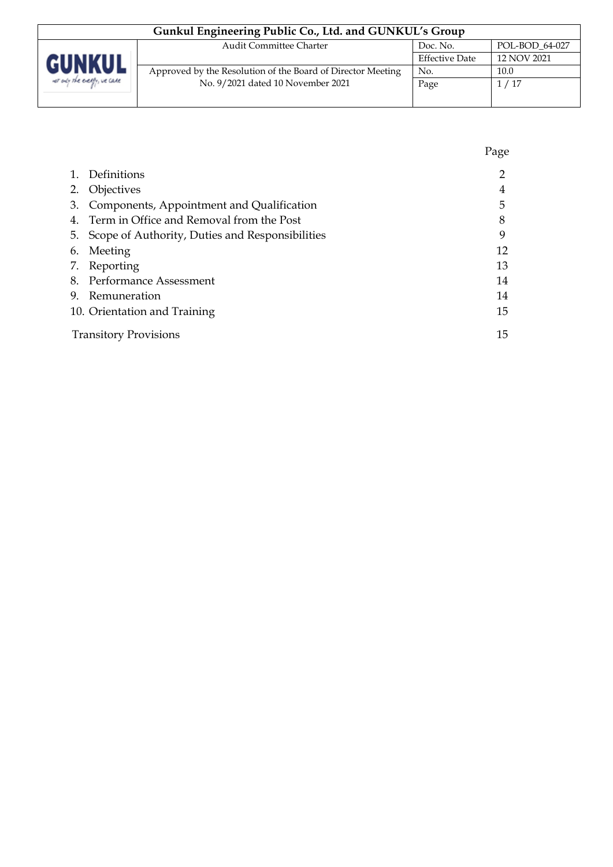| Gunkul Engineering Public Co., Ltd. and GUNKUL's Group       |                                                             |                       |             |  |
|--------------------------------------------------------------|-------------------------------------------------------------|-----------------------|-------------|--|
| POL-BOD 64-027<br><b>Audit Committee Charter</b><br>Doc. No. |                                                             |                       |             |  |
| <b>GUNKUI</b>                                                |                                                             | <b>Effective Date</b> | 12 NOV 2021 |  |
|                                                              | Approved by the Resolution of the Board of Director Meeting | No.                   | 10.0        |  |
| net only the energy, we cake                                 | No. 9/2021 dated 10 November 2021                           | Page                  | 1/17        |  |
|                                                              |                                                             |                       |             |  |

|    |                                                    | Page |
|----|----------------------------------------------------|------|
| 1. | Definitions                                        |      |
|    | 2. Objectives                                      | 4    |
|    | 3. Components, Appointment and Qualification       | 5    |
|    | 4. Term in Office and Removal from the Post        | 8    |
|    | 5. Scope of Authority, Duties and Responsibilities | 9    |
|    | 6. Meeting                                         | 12   |
|    | 7. Reporting                                       | 13   |
|    | 8. Performance Assessment                          | 14   |
|    | 9. Remuneration                                    | 14   |
|    | 10. Orientation and Training                       | 15   |
|    | <b>Transitory Provisions</b>                       | 15   |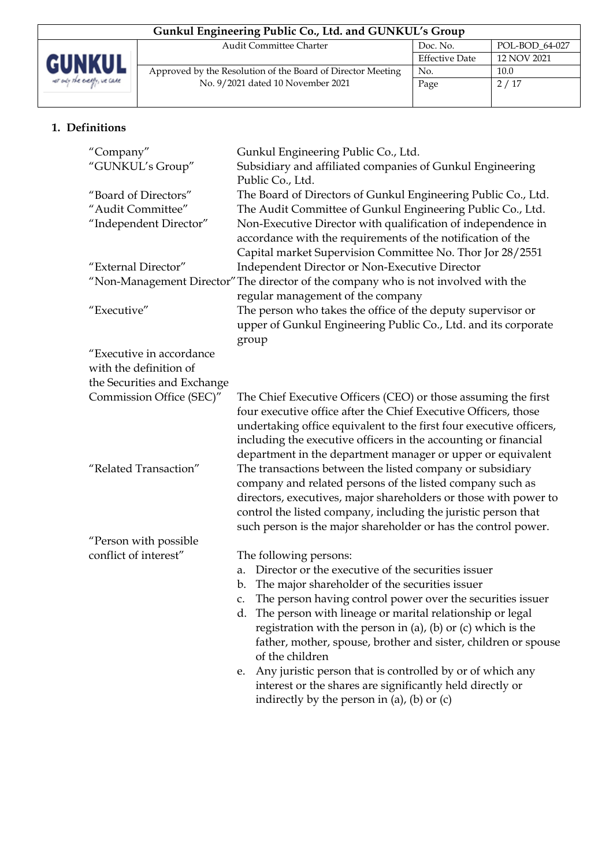| Gunkul Engineering Public Co., Ltd. and GUNKUL's Group       |                                                             |                       |             |  |
|--------------------------------------------------------------|-------------------------------------------------------------|-----------------------|-------------|--|
| POL-BOD 64-027<br><b>Audit Committee Charter</b><br>Doc. No. |                                                             |                       |             |  |
| <b>GUNKUL</b>                                                |                                                             | <b>Effective Date</b> | 12 NOV 2021 |  |
|                                                              | Approved by the Resolution of the Board of Director Meeting | No.                   | 10.0        |  |
| we any the every, we care                                    | No. 9/2021 dated 10 November 2021                           | Page                  | 2/17        |  |
|                                                              |                                                             |                       |             |  |

# **1. Definitions**

| "Company"<br>"GUNKUL's Group"                                       | Gunkul Engineering Public Co., Ltd.<br>Subsidiary and affiliated companies of Gunkul Engineering<br>Public Co., Ltd.                                                                                                                                                                                                                       |
|---------------------------------------------------------------------|--------------------------------------------------------------------------------------------------------------------------------------------------------------------------------------------------------------------------------------------------------------------------------------------------------------------------------------------|
| "Board of Directors"<br>"Audit Committee"<br>"Independent Director" | The Board of Directors of Gunkul Engineering Public Co., Ltd.<br>The Audit Committee of Gunkul Engineering Public Co., Ltd.<br>Non-Executive Director with qualification of independence in<br>accordance with the requirements of the notification of the<br>Capital market Supervision Committee No. Thor Jor 28/2551                    |
| "External Director"                                                 | Independent Director or Non-Executive Director                                                                                                                                                                                                                                                                                             |
|                                                                     | "Non-Management Director" The director of the company who is not involved with the<br>regular management of the company                                                                                                                                                                                                                    |
| "Executive"                                                         | The person who takes the office of the deputy supervisor or<br>upper of Gunkul Engineering Public Co., Ltd. and its corporate<br>group                                                                                                                                                                                                     |
| "Executive in accordance                                            |                                                                                                                                                                                                                                                                                                                                            |
| with the definition of                                              |                                                                                                                                                                                                                                                                                                                                            |
| the Securities and Exchange                                         |                                                                                                                                                                                                                                                                                                                                            |
| Commission Office (SEC)"                                            | The Chief Executive Officers (CEO) or those assuming the first<br>four executive office after the Chief Executive Officers, those<br>undertaking office equivalent to the first four executive officers,<br>including the executive officers in the accounting or financial<br>department in the department manager or upper or equivalent |
| "Related Transaction"                                               | The transactions between the listed company or subsidiary<br>company and related persons of the listed company such as<br>directors, executives, major shareholders or those with power to<br>control the listed company, including the juristic person that<br>such person is the major shareholder or has the control power.             |
| "Person with possible                                               |                                                                                                                                                                                                                                                                                                                                            |
| conflict of interest"                                               | The following persons:                                                                                                                                                                                                                                                                                                                     |
|                                                                     | Director or the executive of the securities issuer<br>a.                                                                                                                                                                                                                                                                                   |
|                                                                     | The major shareholder of the securities issuer<br>b.                                                                                                                                                                                                                                                                                       |
|                                                                     | The person having control power over the securities issuer<br>c.                                                                                                                                                                                                                                                                           |
|                                                                     | d. The person with lineage or marital relationship or legal<br>registration with the person in (a), (b) or (c) which is the<br>father, mother, spouse, brother and sister, children or spouse<br>of the children                                                                                                                           |
|                                                                     | Any juristic person that is controlled by or of which any<br>e.<br>interest or the shares are significantly held directly or<br>indirectly by the person in (a), (b) or $(c)$                                                                                                                                                              |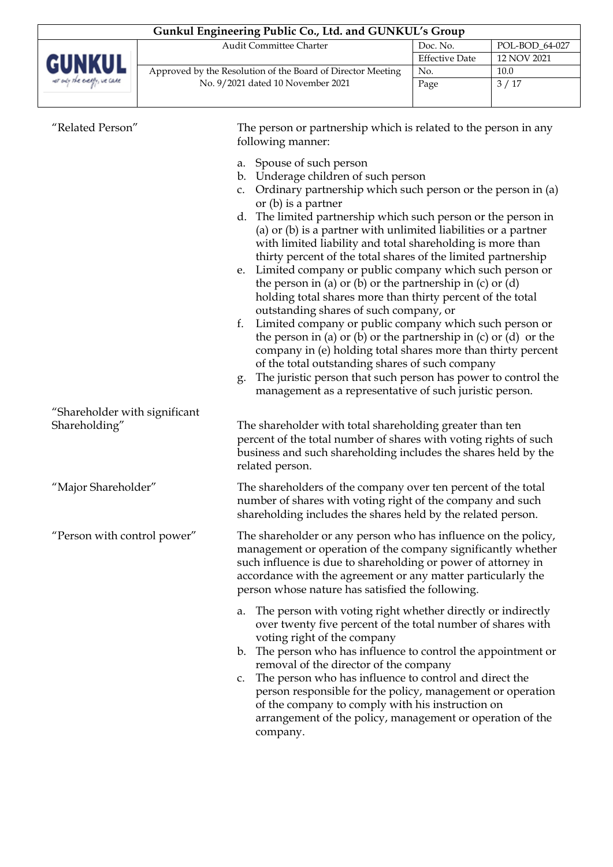| Gunkul Engineering Public Co., Ltd. and GUNKUL's Group       |                                                             |                       |             |  |
|--------------------------------------------------------------|-------------------------------------------------------------|-----------------------|-------------|--|
| <b>Audit Committee Charter</b><br>POL-BOD 64-027<br>Doc. No. |                                                             |                       |             |  |
| <b>GUNKUL</b>                                                |                                                             | <b>Effective Date</b> | 12 NOV 2021 |  |
|                                                              | Approved by the Resolution of the Board of Director Meeting | No.                   | 10.0        |  |
| we any the every, we care                                    | No. 9/2021 dated 10 November 2021                           | Page                  | 3/17        |  |
|                                                              |                                                             |                       |             |  |

| "Related Person"                               | The person or partnership which is related to the person in any<br>following manner:                                                                                                                                                                                                                                                                                                                                                                                                                                                                                                                                                                                                                                                                                                                                                                                                                                                                                                                                                                              |
|------------------------------------------------|-------------------------------------------------------------------------------------------------------------------------------------------------------------------------------------------------------------------------------------------------------------------------------------------------------------------------------------------------------------------------------------------------------------------------------------------------------------------------------------------------------------------------------------------------------------------------------------------------------------------------------------------------------------------------------------------------------------------------------------------------------------------------------------------------------------------------------------------------------------------------------------------------------------------------------------------------------------------------------------------------------------------------------------------------------------------|
|                                                | Spouse of such person<br>a.<br>Underage children of such person<br>b.<br>Ordinary partnership which such person or the person in (a)<br>C.<br>or $(b)$ is a partner<br>d. The limited partnership which such person or the person in<br>(a) or (b) is a partner with unlimited liabilities or a partner<br>with limited liability and total shareholding is more than<br>thirty percent of the total shares of the limited partnership<br>e. Limited company or public company which such person or<br>the person in (a) or (b) or the partnership in (c) or (d)<br>holding total shares more than thirty percent of the total<br>outstanding shares of such company, or<br>Limited company or public company which such person or<br>f.<br>the person in (a) or (b) or the partnership in (c) or (d) or the<br>company in (e) holding total shares more than thirty percent<br>of the total outstanding shares of such company<br>The juristic person that such person has power to control the<br>g.<br>management as a representative of such juristic person. |
| "Shareholder with significant<br>Shareholding" | The shareholder with total shareholding greater than ten<br>percent of the total number of shares with voting rights of such<br>business and such shareholding includes the shares held by the<br>related person.                                                                                                                                                                                                                                                                                                                                                                                                                                                                                                                                                                                                                                                                                                                                                                                                                                                 |
| "Major Shareholder"                            | The shareholders of the company over ten percent of the total<br>number of shares with voting right of the company and such<br>shareholding includes the shares held by the related person.                                                                                                                                                                                                                                                                                                                                                                                                                                                                                                                                                                                                                                                                                                                                                                                                                                                                       |
| "Person with control power"                    | The shareholder or any person who has influence on the policy,<br>management or operation of the company significantly whether<br>such influence is due to shareholding or power of attorney in<br>accordance with the agreement or any matter particularly the<br>person whose nature has satisfied the following.                                                                                                                                                                                                                                                                                                                                                                                                                                                                                                                                                                                                                                                                                                                                               |
|                                                | The person with voting right whether directly or indirectly<br>a.<br>over twenty five percent of the total number of shares with<br>voting right of the company<br>The person who has influence to control the appointment or<br>b.<br>removal of the director of the company<br>The person who has influence to control and direct the<br>C.<br>person responsible for the policy, management or operation<br>of the company to comply with his instruction on<br>arrangement of the policy, management or operation of the<br>company.                                                                                                                                                                                                                                                                                                                                                                                                                                                                                                                          |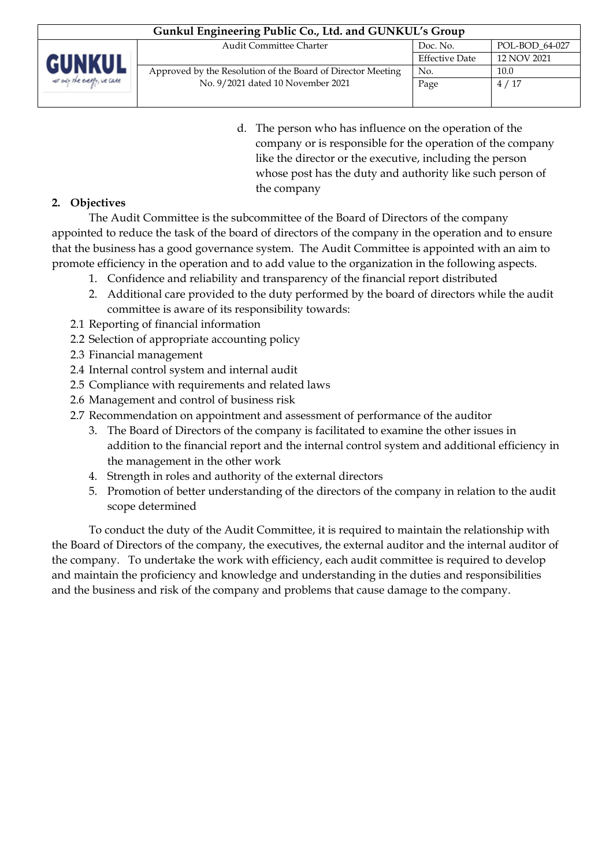| Gunkul Engineering Public Co., Ltd. and GUNKUL's Group       |                                                             |                |             |  |
|--------------------------------------------------------------|-------------------------------------------------------------|----------------|-------------|--|
| <b>Audit Committee Charter</b><br>POL-BOD 64-027<br>Doc. No. |                                                             |                |             |  |
| <b>GUNKUL</b>                                                |                                                             | Effective Date | 12 NOV 2021 |  |
|                                                              | Approved by the Resolution of the Board of Director Meeting | No.            | 10.0        |  |
| we ady the every, we cake                                    | No. 9/2021 dated 10 November 2021                           | Page           | 4/17        |  |
|                                                              |                                                             |                |             |  |

d. The person who has influence on the operation of the company or is responsible for the operation of the company like the director or the executive, including the person whose post has the duty and authority like such person of the company

# **2. Objectives**

The Audit Committee is the subcommittee of the Board of Directors of the company appointed to reduce the task of the board of directors of the company in the operation and to ensure that the business has a good governance system. The Audit Committee is appointed with an aim to promote efficiency in the operation and to add value to the organization in the following aspects.

- 1. Confidence and reliability and transparency of the financial report distributed
- 2. Additional care provided to the duty performed by the board of directors while the audit committee is aware of its responsibility towards:
- 2.1 Reporting of financial information
- 2.2 Selection of appropriate accounting policy
- 2.3 Financial management
- 2.4 Internal control system and internal audit
- 2.5 Compliance with requirements and related laws
- 2.6 Management and control of business risk
- 2.7 Recommendation on appointment and assessment of performance of the auditor
	- 3. The Board of Directors of the company is facilitated to examine the other issues in addition to the financial report and the internal control system and additional efficiency in the management in the other work
	- 4. Strength in roles and authority of the external directors
	- 5. Promotion of better understanding of the directors of the company in relation to the audit scope determined

To conduct the duty of the Audit Committee, it is required to maintain the relationship with the Board of Directors of the company, the executives, the external auditor and the internal auditor of the company. To undertake the work with efficiency, each audit committee is required to develop and maintain the proficiency and knowledge and understanding in the duties and responsibilities and the business and risk of the company and problems that cause damage to the company.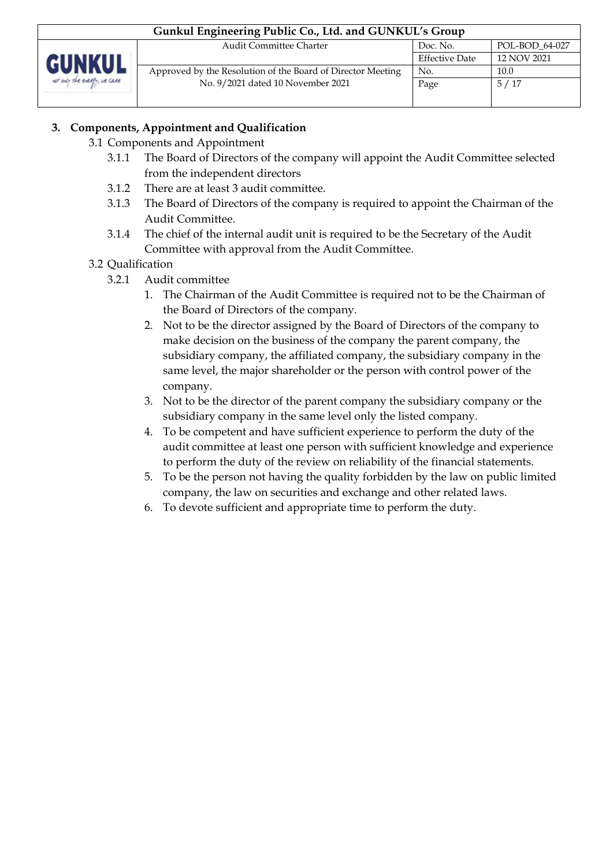| Gunkul Engineering Public Co., Ltd. and GUNKUL's Group |                                                             |                       |                |  |
|--------------------------------------------------------|-------------------------------------------------------------|-----------------------|----------------|--|
|                                                        | <b>Audit Committee Charter</b>                              | Doc. No.              | POL-BOD 64-027 |  |
| <b>GUNKUL</b>                                          |                                                             | <b>Effective Date</b> | 12 NOV 2021    |  |
|                                                        | Approved by the Resolution of the Board of Director Meeting | No.                   | 10.0           |  |
| not only the energy, we care                           | No. 9/2021 dated 10 November 2021                           | Page                  | 5/17           |  |
|                                                        |                                                             |                       |                |  |

### **3. Components, Appointment and Qualification**

### 3.1 Components and Appointment

- 3.1.1 The Board of Directors of the company will appoint the Audit Committee selected from the independent directors
- 3.1.2 There are at least 3 audit committee.
- 3.1.3 The Board of Directors of the company is required to appoint the Chairman of the Audit Committee.
- 3.1.4 The chief of the internal audit unit is required to be the Secretary of the Audit Committee with approval from the Audit Committee.
- 3.2 Qualification
	- 3.2.1 Audit committee
		- 1. The Chairman of the Audit Committee is required not to be the Chairman of the Board of Directors of the company.
		- 2. Not to be the director assigned by the Board of Directors of the company to make decision on the business of the company the parent company, the subsidiary company, the affiliated company, the subsidiary company in the same level, the major shareholder or the person with control power of the company.
		- 3. Not to be the director of the parent company the subsidiary company or the subsidiary company in the same level only the listed company.
		- 4. To be competent and have sufficient experience to perform the duty of the audit committee at least one person with sufficient knowledge and experience to perform the duty of the review on reliability of the financial statements.
		- 5. To be the person not having the quality forbidden by the law on public limited company, the law on securities and exchange and other related laws.
		- 6. To devote sufficient and appropriate time to perform the duty.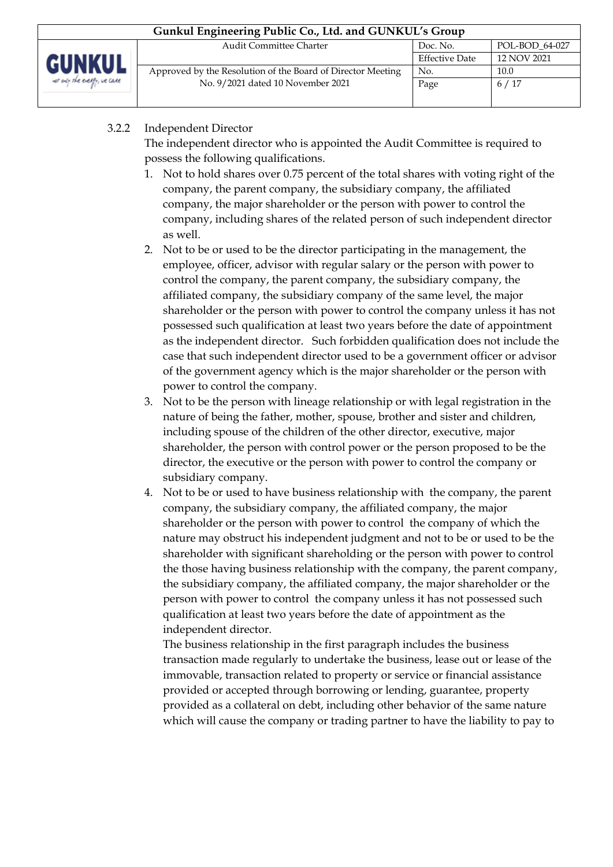| Gunkul Engineering Public Co., Ltd. and GUNKUL's Group       |                                                             |                       |             |  |
|--------------------------------------------------------------|-------------------------------------------------------------|-----------------------|-------------|--|
| POL-BOD 64-027<br><b>Audit Committee Charter</b><br>Doc. No. |                                                             |                       |             |  |
| <b>GUNKUL</b>                                                |                                                             | <b>Effective Date</b> | 12 NOV 2021 |  |
|                                                              | Approved by the Resolution of the Board of Director Meeting | No.                   | 10.0        |  |
| we any the every, we care                                    | No. 9/2021 dated 10 November 2021                           | Page                  | 6/17        |  |
|                                                              |                                                             |                       |             |  |

### 3.2.2 Independent Director

The independent director who is appointed the Audit Committee is required to possess the following qualifications.

- 1. Not to hold shares over 0.75 percent of the total shares with voting right of the company, the parent company, the subsidiary company, the affiliated company, the major shareholder or the person with power to control the company, including shares of the related person of such independent director as well.
- 2. Not to be or used to be the director participating in the management, the employee, officer, advisor with regular salary or the person with power to control the company, the parent company, the subsidiary company, the affiliated company, the subsidiary company of the same level, the major shareholder or the person with power to control the company unless it has not possessed such qualification at least two years before the date of appointment as the independent director. Such forbidden qualification does not include the case that such independent director used to be a government officer or advisor of the government agency which is the major shareholder or the person with power to control the company.
- 3. Not to be the person with lineage relationship or with legal registration in the nature of being the father, mother, spouse, brother and sister and children, including spouse of the children of the other director, executive, major shareholder, the person with control power or the person proposed to be the director, the executive or the person with power to control the company or subsidiary company.
- 4. Not to be or used to have business relationship with the company, the parent company, the subsidiary company, the affiliated company, the major shareholder or the person with power to control the company of which the nature may obstruct his independent judgment and not to be or used to be the shareholder with significant shareholding or the person with power to control the those having business relationship with the company, the parent company, the subsidiary company, the affiliated company, the major shareholder or the person with power to control the company unless it has not possessed such qualification at least two years before the date of appointment as the independent director.

The business relationship in the first paragraph includes the business transaction made regularly to undertake the business, lease out or lease of the immovable, transaction related to property or service or financial assistance provided or accepted through borrowing or lending, guarantee, property provided as a collateral on debt, including other behavior of the same nature which will cause the company or trading partner to have the liability to pay to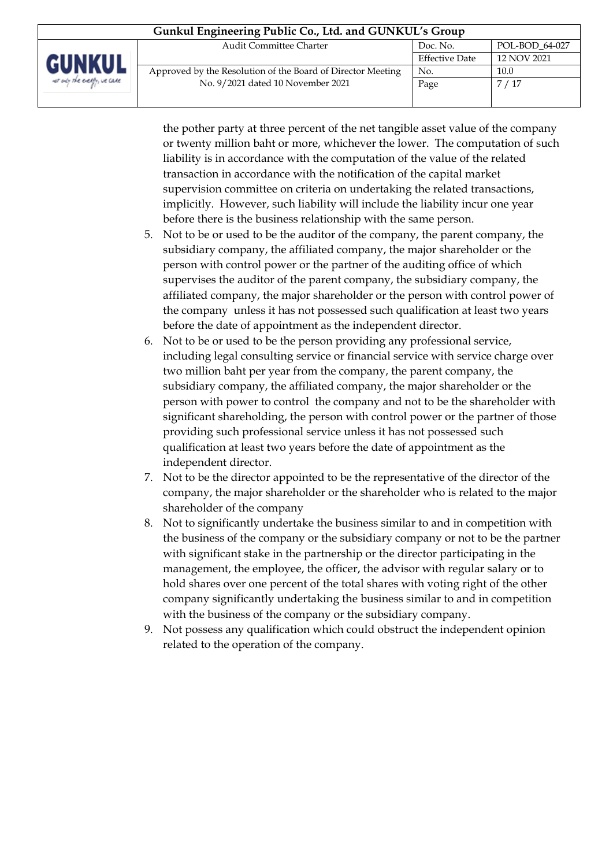| Gunkul Engineering Public Co., Ltd. and GUNKUL's Group       |                                                             |                       |             |
|--------------------------------------------------------------|-------------------------------------------------------------|-----------------------|-------------|
| <b>Audit Committee Charter</b><br>POL-BOD 64-027<br>Doc. No. |                                                             |                       |             |
| <b>GUNKUL</b>                                                |                                                             | <b>Effective Date</b> | 12 NOV 2021 |
|                                                              | Approved by the Resolution of the Board of Director Meeting | No.                   | 10.0        |
| we ady the every, we care                                    | No. 9/2021 dated 10 November 2021                           | Page                  | 7/17        |
|                                                              |                                                             |                       |             |

the pother party at three percent of the net tangible asset value of the company or twenty million baht or more, whichever the lower. The computation of such liability is in accordance with the computation of the value of the related transaction in accordance with the notification of the capital market supervision committee on criteria on undertaking the related transactions, implicitly. However, such liability will include the liability incur one year before there is the business relationship with the same person.

- 5. Not to be or used to be the auditor of the company, the parent company, the subsidiary company, the affiliated company, the major shareholder or the person with control power or the partner of the auditing office of which supervises the auditor of the parent company, the subsidiary company, the affiliated company, the major shareholder or the person with control power of the company unless it has not possessed such qualification at least two years before the date of appointment as the independent director.
- 6. Not to be or used to be the person providing any professional service, including legal consulting service or financial service with service charge over two million baht per year from the company, the parent company, the subsidiary company, the affiliated company, the major shareholder or the person with power to control the company and not to be the shareholder with significant shareholding, the person with control power or the partner of those providing such professional service unless it has not possessed such qualification at least two years before the date of appointment as the independent director.
- 7. Not to be the director appointed to be the representative of the director of the company, the major shareholder or the shareholder who is related to the major shareholder of the company
- 8. Not to significantly undertake the business similar to and in competition with the business of the company or the subsidiary company or not to be the partner with significant stake in the partnership or the director participating in the management, the employee, the officer, the advisor with regular salary or to hold shares over one percent of the total shares with voting right of the other company significantly undertaking the business similar to and in competition with the business of the company or the subsidiary company.
- 9. Not possess any qualification which could obstruct the independent opinion related to the operation of the company.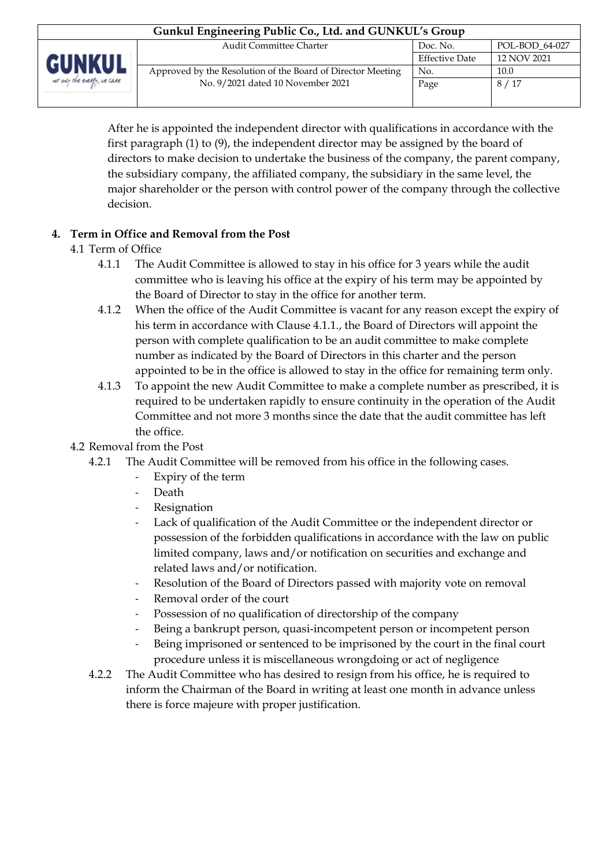| Gunkul Engineering Public Co., Ltd. and GUNKUL's Group       |                                                             |                       |             |  |
|--------------------------------------------------------------|-------------------------------------------------------------|-----------------------|-------------|--|
| <b>Audit Committee Charter</b><br>POL-BOD 64-027<br>Doc. No. |                                                             |                       |             |  |
| <b>GUNKUI</b>                                                |                                                             | <b>Effective Date</b> | 12 NOV 2021 |  |
|                                                              | Approved by the Resolution of the Board of Director Meeting | No.                   | 10.0        |  |
| ver only the every, we care                                  | No. 9/2021 dated 10 November 2021                           | Page                  | 8/17        |  |
|                                                              |                                                             |                       |             |  |

After he is appointed the independent director with qualifications in accordance with the first paragraph (1) to (9), the independent director may be assigned by the board of directors to make decision to undertake the business of the company, the parent company, the subsidiary company, the affiliated company, the subsidiary in the same level, the major shareholder or the person with control power of the company through the collective decision.

## **4. Term in Office and Removal from the Post**

- 4.1 Term of Office
	- 4.1.1 The Audit Committee is allowed to stay in his office for 3 years while the audit committee who is leaving his office at the expiry of his term may be appointed by the Board of Director to stay in the office for another term.
	- 4.1.2 When the office of the Audit Committee is vacant for any reason except the expiry of his term in accordance with Clause 4.1.1., the Board of Directors will appoint the person with complete qualification to be an audit committee to make complete number as indicated by the Board of Directors in this charter and the person appointed to be in the office is allowed to stay in the office for remaining term only.
	- 4.1.3 To appoint the new Audit Committee to make a complete number as prescribed, it is required to be undertaken rapidly to ensure continuity in the operation of the Audit Committee and not more 3 months since the date that the audit committee has left the office.

## 4.2 Removal from the Post

- 4.2.1 The Audit Committee will be removed from his office in the following cases.
	- Expiry of the term
	- Death
	- **Resignation**
	- Lack of qualification of the Audit Committee or the independent director or possession of the forbidden qualifications in accordance with the law on public limited company, laws and/or notification on securities and exchange and related laws and/or notification.
	- Resolution of the Board of Directors passed with majority vote on removal
	- Removal order of the court
	- Possession of no qualification of directorship of the company
	- Being a bankrupt person, quasi-incompetent person or incompetent person
	- Being imprisoned or sentenced to be imprisoned by the court in the final court procedure unless it is miscellaneous wrongdoing or act of negligence
- 4.2.2 The Audit Committee who has desired to resign from his office, he is required to inform the Chairman of the Board in writing at least one month in advance unless there is force majeure with proper justification.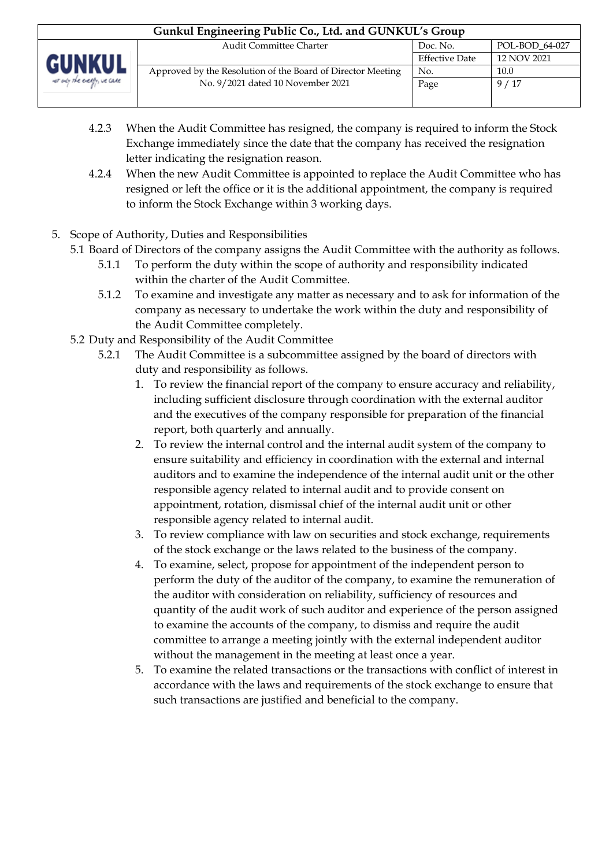| Gunkul Engineering Public Co., Ltd. and GUNKUL's Group |                                                              |                       |             |  |
|--------------------------------------------------------|--------------------------------------------------------------|-----------------------|-------------|--|
|                                                        | <b>Audit Committee Charter</b><br>POL-BOD 64-027<br>Doc. No. |                       |             |  |
| GUNKUL                                                 |                                                              | <b>Effective Date</b> | 12 NOV 2021 |  |
|                                                        | Approved by the Resolution of the Board of Director Meeting  | No.                   | 10.0        |  |
| net only the every, we care                            | No. 9/2021 dated 10 November 2021                            | Page                  | 9/17        |  |
|                                                        |                                                              |                       |             |  |

- 4.2.3 When the Audit Committee has resigned, the company is required to inform the Stock Exchange immediately since the date that the company has received the resignation letter indicating the resignation reason.
- 4.2.4 When the new Audit Committee is appointed to replace the Audit Committee who has resigned or left the office or it is the additional appointment, the company is required to inform the Stock Exchange within 3 working days.
- 5. Scope of Authority, Duties and Responsibilities
	- 5.1 Board of Directors of the company assigns the Audit Committee with the authority as follows.
		- 5.1.1 To perform the duty within the scope of authority and responsibility indicated within the charter of the Audit Committee.
		- 5.1.2 To examine and investigate any matter as necessary and to ask for information of the company as necessary to undertake the work within the duty and responsibility of the Audit Committee completely.
	- 5.2 Duty and Responsibility of the Audit Committee
		- 5.2.1 The Audit Committee is a subcommittee assigned by the board of directors with duty and responsibility as follows.
			- 1. To review the financial report of the company to ensure accuracy and reliability, including sufficient disclosure through coordination with the external auditor and the executives of the company responsible for preparation of the financial report, both quarterly and annually.
			- 2. To review the internal control and the internal audit system of the company to ensure suitability and efficiency in coordination with the external and internal auditors and to examine the independence of the internal audit unit or the other responsible agency related to internal audit and to provide consent on appointment, rotation, dismissal chief of the internal audit unit or other responsible agency related to internal audit.
			- 3. To review compliance with law on securities and stock exchange, requirements of the stock exchange or the laws related to the business of the company.
			- 4. To examine, select, propose for appointment of the independent person to perform the duty of the auditor of the company, to examine the remuneration of the auditor with consideration on reliability, sufficiency of resources and quantity of the audit work of such auditor and experience of the person assigned to examine the accounts of the company, to dismiss and require the audit committee to arrange a meeting jointly with the external independent auditor without the management in the meeting at least once a year.
			- 5. To examine the related transactions or the transactions with conflict of interest in accordance with the laws and requirements of the stock exchange to ensure that such transactions are justified and beneficial to the company.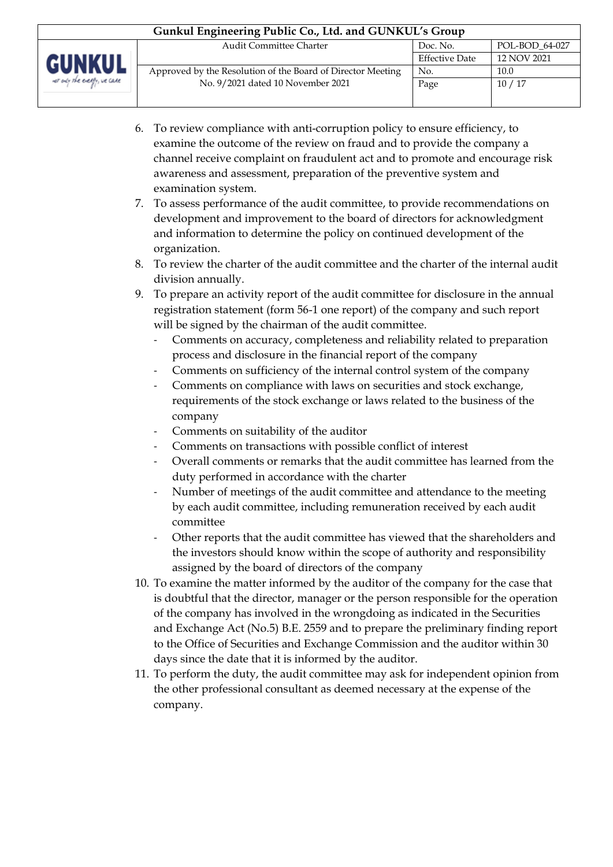| Gunkul Engineering Public Co., Ltd. and GUNKUL's Group |                                                             |                       |                |  |  |  |
|--------------------------------------------------------|-------------------------------------------------------------|-----------------------|----------------|--|--|--|
|                                                        | <b>Audit Committee Charter</b>                              | Doc. No.              | POL-BOD 64-027 |  |  |  |
| <b>GUNKUL</b>                                          |                                                             | <b>Effective Date</b> | 12 NOV 2021    |  |  |  |
|                                                        | Approved by the Resolution of the Board of Director Meeting | No.                   | 10.0           |  |  |  |
| ver only the every, we care                            | No. 9/2021 dated 10 November 2021                           | Page                  | 10/17          |  |  |  |
|                                                        |                                                             |                       |                |  |  |  |

- 6. To review compliance with anti-corruption policy to ensure efficiency, to examine the outcome of the review on fraud and to provide the company a channel receive complaint on fraudulent act and to promote and encourage risk awareness and assessment, preparation of the preventive system and examination system.
- 7. To assess performance of the audit committee, to provide recommendations on development and improvement to the board of directors for acknowledgment and information to determine the policy on continued development of the organization.
- 8. To review the charter of the audit committee and the charter of the internal audit division annually.
- 9. To prepare an activity report of the audit committee for disclosure in the annual registration statement (form 56-1 one report) of the company and such report will be signed by the chairman of the audit committee.
	- Comments on accuracy, completeness and reliability related to preparation process and disclosure in the financial report of the company
	- Comments on sufficiency of the internal control system of the company
	- Comments on compliance with laws on securities and stock exchange, requirements of the stock exchange or laws related to the business of the company
	- Comments on suitability of the auditor
	- Comments on transactions with possible conflict of interest
	- Overall comments or remarks that the audit committee has learned from the duty performed in accordance with the charter
	- Number of meetings of the audit committee and attendance to the meeting by each audit committee, including remuneration received by each audit committee
	- Other reports that the audit committee has viewed that the shareholders and the investors should know within the scope of authority and responsibility assigned by the board of directors of the company
- 10. To examine the matter informed by the auditor of the company for the case that is doubtful that the director, manager or the person responsible for the operation of the company has involved in the wrongdoing as indicated in the Securities and Exchange Act (No.5) B.E. 2559 and to prepare the preliminary finding report to the Office of Securities and Exchange Commission and the auditor within 30 days since the date that it is informed by the auditor.
- 11. To perform the duty, the audit committee may ask for independent opinion from the other professional consultant as deemed necessary at the expense of the company.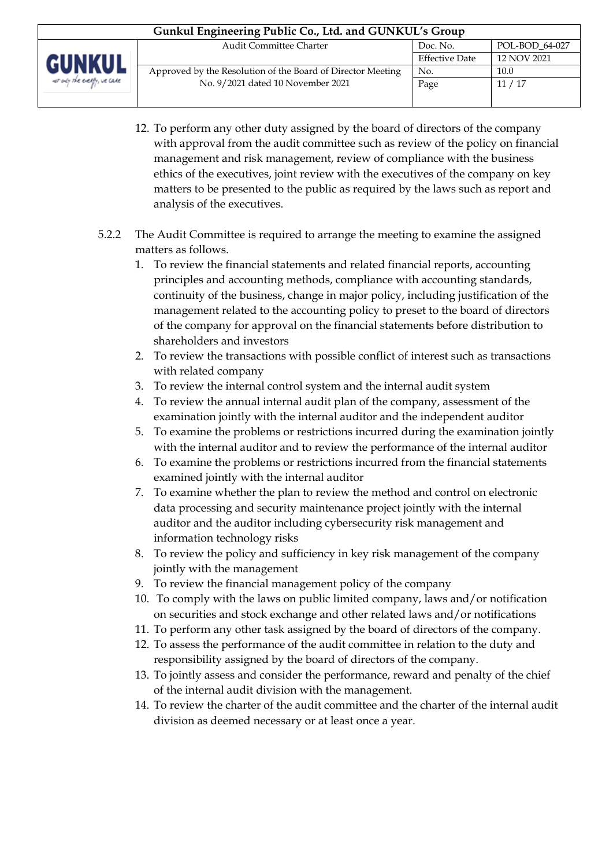- 12. To perform any other duty assigned by the board of directors of the company with approval from the audit committee such as review of the policy on financial management and risk management, review of compliance with the business ethics of the executives, joint review with the executives of the company on key matters to be presented to the public as required by the laws such as report and analysis of the executives.
- 5.2.2 The Audit Committee is required to arrange the meeting to examine the assigned matters as follows.
	- 1. To review the financial statements and related financial reports, accounting principles and accounting methods, compliance with accounting standards, continuity of the business, change in major policy, including justification of the management related to the accounting policy to preset to the board of directors of the company for approval on the financial statements before distribution to shareholders and investors
	- 2. To review the transactions with possible conflict of interest such as transactions with related company
	- 3. To review the internal control system and the internal audit system
	- 4. To review the annual internal audit plan of the company, assessment of the examination jointly with the internal auditor and the independent auditor
	- 5. To examine the problems or restrictions incurred during the examination jointly with the internal auditor and to review the performance of the internal auditor
	- 6. To examine the problems or restrictions incurred from the financial statements examined jointly with the internal auditor
	- 7. To examine whether the plan to review the method and control on electronic data processing and security maintenance project jointly with the internal auditor and the auditor including cybersecurity risk management and information technology risks
	- 8. To review the policy and sufficiency in key risk management of the company jointly with the management
	- 9. To review the financial management policy of the company
	- 10. To comply with the laws on public limited company, laws and/or notification on securities and stock exchange and other related laws and/or notifications
	- 11. To perform any other task assigned by the board of directors of the company.
	- 12. To assess the performance of the audit committee in relation to the duty and responsibility assigned by the board of directors of the company.
	- 13. To jointly assess and consider the performance, reward and penalty of the chief of the internal audit division with the management.
	- 14. To review the charter of the audit committee and the charter of the internal audit division as deemed necessary or at least once a year.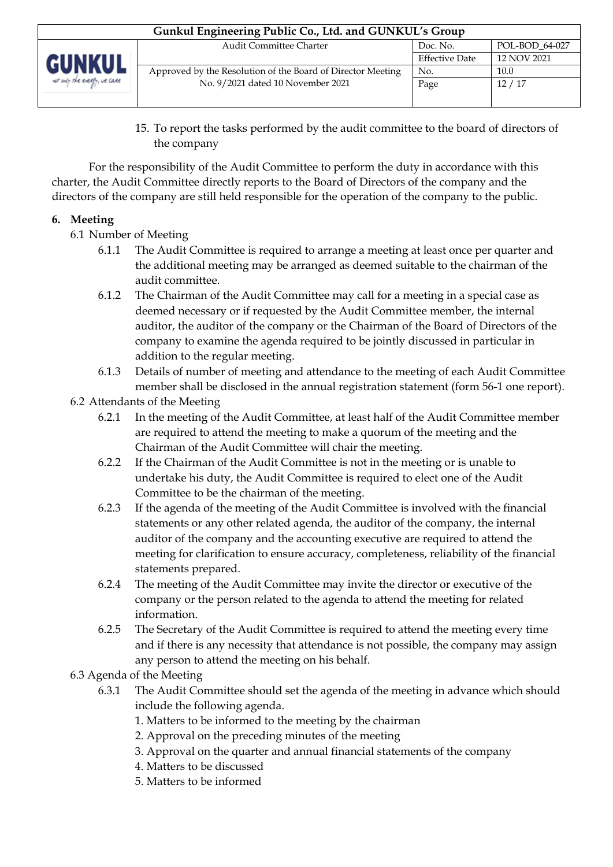| Gunkul Engineering Public Co., Ltd. and GUNKUL's Group |                                                             |                       |                |  |  |  |
|--------------------------------------------------------|-------------------------------------------------------------|-----------------------|----------------|--|--|--|
|                                                        | <b>Audit Committee Charter</b>                              | Doc. No.              | POL-BOD 64-027 |  |  |  |
| <b>GUNKUL</b>                                          |                                                             | <b>Effective Date</b> | 12 NOV 2021    |  |  |  |
|                                                        | Approved by the Resolution of the Board of Director Meeting | No.                   | 10.0           |  |  |  |
| net only the every, we care                            | No. 9/2021 dated 10 November 2021                           | Page                  | 12/17          |  |  |  |
|                                                        |                                                             |                       |                |  |  |  |

15. To report the tasks performed by the audit committee to the board of directors of the company

For the responsibility of the Audit Committee to perform the duty in accordance with this charter, the Audit Committee directly reports to the Board of Directors of the company and the directors of the company are still held responsible for the operation of the company to the public.

## **6. Meeting**

- 6.1 Number of Meeting
	- 6.1.1 The Audit Committee is required to arrange a meeting at least once per quarter and the additional meeting may be arranged as deemed suitable to the chairman of the audit committee.
	- 6.1.2 The Chairman of the Audit Committee may call for a meeting in a special case as deemed necessary or if requested by the Audit Committee member, the internal auditor, the auditor of the company or the Chairman of the Board of Directors of the company to examine the agenda required to be jointly discussed in particular in addition to the regular meeting.
	- 6.1.3 Details of number of meeting and attendance to the meeting of each Audit Committee member shall be disclosed in the annual registration statement (form 56-1 one report).

## 6.2 Attendants of the Meeting

- 6.2.1 In the meeting of the Audit Committee, at least half of the Audit Committee member are required to attend the meeting to make a quorum of the meeting and the Chairman of the Audit Committee will chair the meeting.
- 6.2.2 If the Chairman of the Audit Committee is not in the meeting or is unable to undertake his duty, the Audit Committee is required to elect one of the Audit Committee to be the chairman of the meeting.
- 6.2.3 If the agenda of the meeting of the Audit Committee is involved with the financial statements or any other related agenda, the auditor of the company, the internal auditor of the company and the accounting executive are required to attend the meeting for clarification to ensure accuracy, completeness, reliability of the financial statements prepared.
- 6.2.4 The meeting of the Audit Committee may invite the director or executive of the company or the person related to the agenda to attend the meeting for related information.
- 6.2.5 The Secretary of the Audit Committee is required to attend the meeting every time and if there is any necessity that attendance is not possible, the company may assign any person to attend the meeting on his behalf.

## 6.3 Agenda of the Meeting

- 6.3.1 The Audit Committee should set the agenda of the meeting in advance which should include the following agenda.
	- 1. Matters to be informed to the meeting by the chairman
	- 2. Approval on the preceding minutes of the meeting
	- 3. Approval on the quarter and annual financial statements of the company
	- 4. Matters to be discussed
	- 5. Matters to be informed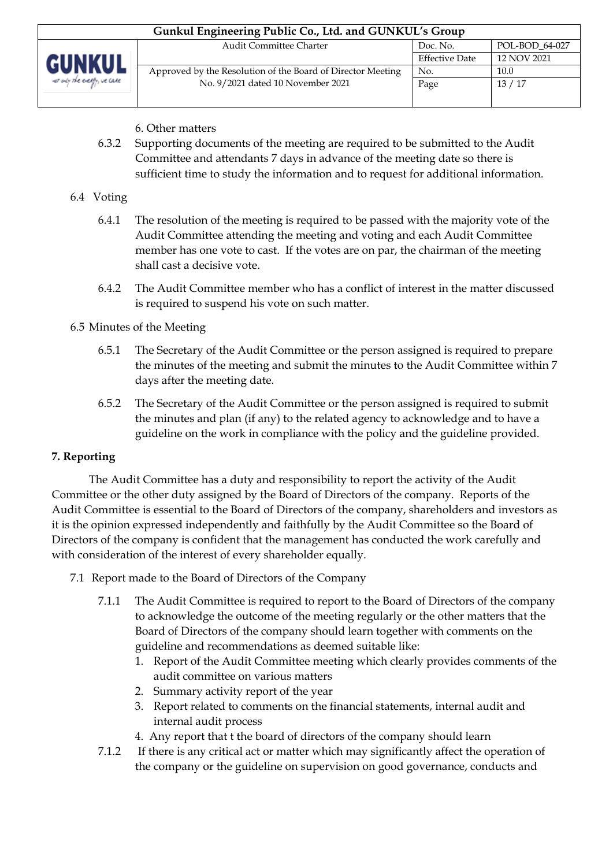| Gunkul Engineering Public Co., Ltd. and GUNKUL's Group |                                                             |                       |                |  |  |  |
|--------------------------------------------------------|-------------------------------------------------------------|-----------------------|----------------|--|--|--|
|                                                        | <b>Audit Committee Charter</b>                              | Doc. No.              | POL-BOD 64-027 |  |  |  |
| <b>GUNKUL</b>                                          |                                                             | <b>Effective Date</b> | 12 NOV 2021    |  |  |  |
|                                                        | Approved by the Resolution of the Board of Director Meeting | No.                   | 10.0           |  |  |  |
| not only the energy, we care                           | No. 9/2021 dated 10 November 2021                           | Page                  | 13 / 17        |  |  |  |
|                                                        |                                                             |                       |                |  |  |  |

- 6. Other matters
- 6.3.2 Supporting documents of the meeting are required to be submitted to the Audit Committee and attendants 7 days in advance of the meeting date so there is sufficient time to study the information and to request for additional information.

#### 6.4 Voting

- 6.4.1 The resolution of the meeting is required to be passed with the majority vote of the Audit Committee attending the meeting and voting and each Audit Committee member has one vote to cast. If the votes are on par, the chairman of the meeting shall cast a decisive vote.
- 6.4.2 The Audit Committee member who has a conflict of interest in the matter discussed is required to suspend his vote on such matter.

#### 6.5 Minutes of the Meeting

- 6.5.1 The Secretary of the Audit Committee or the person assigned is required to prepare the minutes of the meeting and submit the minutes to the Audit Committee within 7 days after the meeting date.
- 6.5.2 The Secretary of the Audit Committee or the person assigned is required to submit the minutes and plan (if any) to the related agency to acknowledge and to have a guideline on the work in compliance with the policy and the guideline provided.

#### **7. Reporting**

The Audit Committee has a duty and responsibility to report the activity of the Audit Committee or the other duty assigned by the Board of Directors of the company. Reports of the Audit Committee is essential to the Board of Directors of the company, shareholders and investors as it is the opinion expressed independently and faithfully by the Audit Committee so the Board of Directors of the company is confident that the management has conducted the work carefully and with consideration of the interest of every shareholder equally.

- 7.1 Report made to the Board of Directors of the Company
	- 7.1.1 The Audit Committee is required to report to the Board of Directors of the company to acknowledge the outcome of the meeting regularly or the other matters that the Board of Directors of the company should learn together with comments on the guideline and recommendations as deemed suitable like:
		- 1. Report of the Audit Committee meeting which clearly provides comments of the audit committee on various matters
		- 2. Summary activity report of the year
		- 3. Report related to comments on the financial statements, internal audit and internal audit process
		- 4. Any report that t the board of directors of the company should learn
	- 7.1.2 If there is any critical act or matter which may significantly affect the operation of the company or the guideline on supervision on good governance, conducts and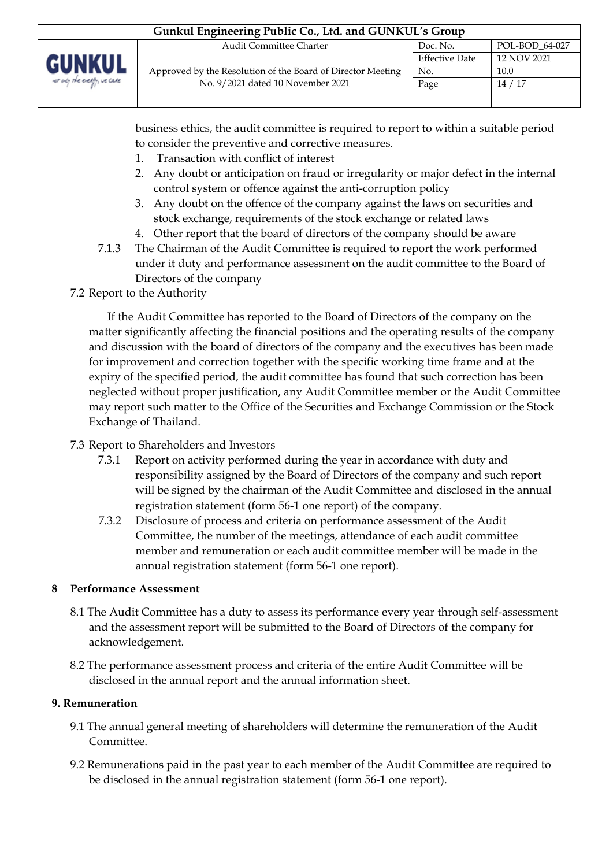| Gunkul Engineering Public Co., Ltd. and GUNKUL's Group |                                                             |                       |                |  |  |  |
|--------------------------------------------------------|-------------------------------------------------------------|-----------------------|----------------|--|--|--|
|                                                        | <b>Audit Committee Charter</b>                              | Doc. No.              | POL-BOD 64-027 |  |  |  |
| <b>GUNKUL</b>                                          |                                                             | <b>Effective Date</b> | 12 NOV 2021    |  |  |  |
|                                                        | Approved by the Resolution of the Board of Director Meeting | No.                   | 10.0           |  |  |  |
| we any the every, we care                              | No. 9/2021 dated 10 November 2021                           | Page                  | 14/17          |  |  |  |
|                                                        |                                                             |                       |                |  |  |  |

business ethics, the audit committee is required to report to within a suitable period to consider the preventive and corrective measures.

- 1. Transaction with conflict of interest
- 2. Any doubt or anticipation on fraud or irregularity or major defect in the internal control system or offence against the anti-corruption policy
- 3. Any doubt on the offence of the company against the laws on securities and stock exchange, requirements of the stock exchange or related laws
- 4. Other report that the board of directors of the company should be aware
- 7.1.3 The Chairman of the Audit Committee is required to report the work performed under it duty and performance assessment on the audit committee to the Board of Directors of the company
- 7.2 Report to the Authority

If the Audit Committee has reported to the Board of Directors of the company on the matter significantly affecting the financial positions and the operating results of the company and discussion with the board of directors of the company and the executives has been made for improvement and correction together with the specific working time frame and at the expiry of the specified period, the audit committee has found that such correction has been neglected without proper justification, any Audit Committee member or the Audit Committee may report such matter to the Office of the Securities and Exchange Commission or the Stock Exchange of Thailand.

- 7.3 Report to Shareholders and Investors
	- 7.3.1 Report on activity performed during the year in accordance with duty and responsibility assigned by the Board of Directors of the company and such report will be signed by the chairman of the Audit Committee and disclosed in the annual registration statement (form 56-1 one report) of the company.
	- 7.3.2 Disclosure of process and criteria on performance assessment of the Audit Committee, the number of the meetings, attendance of each audit committee member and remuneration or each audit committee member will be made in the annual registration statement (form 56-1 one report).

### **8 Performance Assessment**

- 8.1 The Audit Committee has a duty to assess its performance every year through self-assessment and the assessment report will be submitted to the Board of Directors of the company for acknowledgement.
- 8.2 The performance assessment process and criteria of the entire Audit Committee will be disclosed in the annual report and the annual information sheet.

## **9. Remuneration**

- 9.1 The annual general meeting of shareholders will determine the remuneration of the Audit Committee.
- 9.2 Remunerations paid in the past year to each member of the Audit Committee are required to be disclosed in the annual registration statement (form 56-1 one report).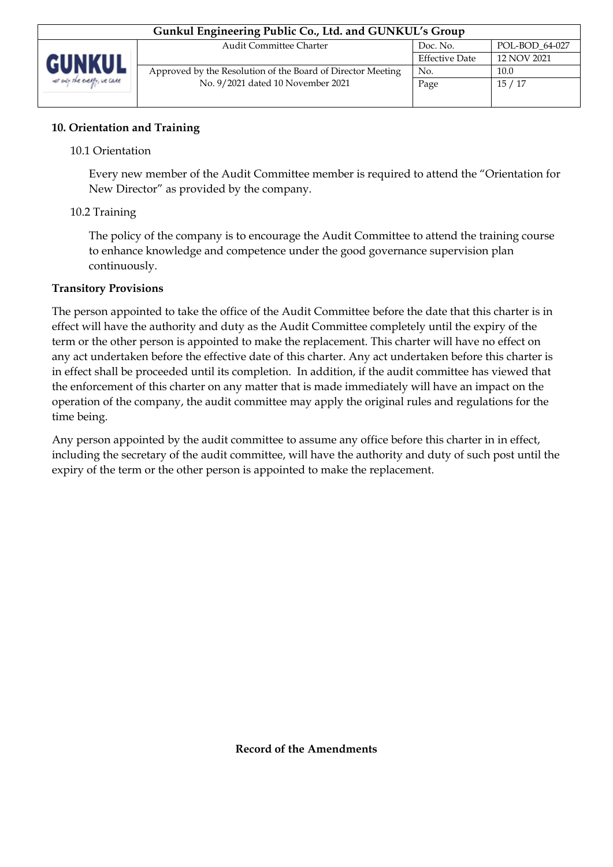### **10. Orientation and Training**

### 10.1 Orientation

Every new member of the Audit Committee member is required to attend the "Orientation for New Director" as provided by the company.

### 10.2 Training

The policy of the company is to encourage the Audit Committee to attend the training course to enhance knowledge and competence under the good governance supervision plan continuously.

#### **Transitory Provisions**

The person appointed to take the office of the Audit Committee before the date that this charter is in effect will have the authority and duty as the Audit Committee completely until the expiry of the term or the other person is appointed to make the replacement. This charter will have no effect on any act undertaken before the effective date of this charter. Any act undertaken before this charter is in effect shall be proceeded until its completion. In addition, if the audit committee has viewed that the enforcement of this charter on any matter that is made immediately will have an impact on the operation of the company, the audit committee may apply the original rules and regulations for the time being.

Any person appointed by the audit committee to assume any office before this charter in in effect, including the secretary of the audit committee, will have the authority and duty of such post until the expiry of the term or the other person is appointed to make the replacement.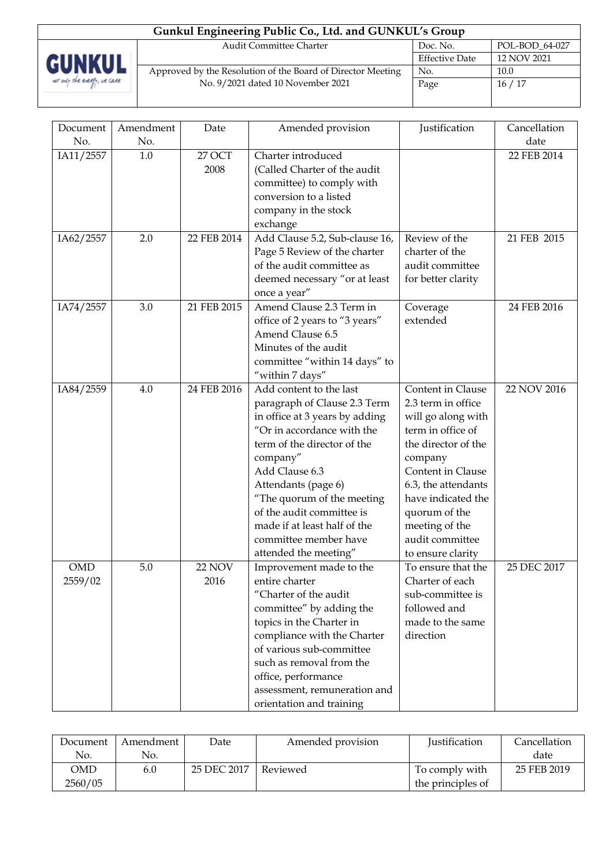| Gunkul Engineering Public Co., Ltd. and GUNKUL's Group |                                                             |                       |                |  |  |
|--------------------------------------------------------|-------------------------------------------------------------|-----------------------|----------------|--|--|
|                                                        | <b>Audit Committee Charter</b>                              | Doc. No.              | POL-BOD_64-027 |  |  |
| <b>GUNKUL</b>                                          |                                                             | <b>Effective Date</b> | 12 NOV 2021    |  |  |
|                                                        | Approved by the Resolution of the Board of Director Meeting | No.                   | 10.0           |  |  |
| we ady the every, we care                              | No. 9/2021 dated 10 November 2021                           | Page                  | 16/17          |  |  |
|                                                        |                                                             |                       |                |  |  |

| Document              | Amendment | Date                  | Amended provision                                                                                                                                                                                                                                                                                                                                        | Justification                                                                                                                                                                                                                                                     | Cancellation |
|-----------------------|-----------|-----------------------|----------------------------------------------------------------------------------------------------------------------------------------------------------------------------------------------------------------------------------------------------------------------------------------------------------------------------------------------------------|-------------------------------------------------------------------------------------------------------------------------------------------------------------------------------------------------------------------------------------------------------------------|--------------|
| No.                   | No.       |                       |                                                                                                                                                                                                                                                                                                                                                          |                                                                                                                                                                                                                                                                   | date         |
| IA11/2557             | 1.0       | 27 OCT<br>2008        | Charter introduced<br>(Called Charter of the audit<br>committee) to comply with<br>conversion to a listed<br>company in the stock<br>exchange                                                                                                                                                                                                            |                                                                                                                                                                                                                                                                   | 22 FEB 2014  |
| IA62/2557             | 2.0       | 22 FEB 2014           | Add Clause 5.2, Sub-clause 16,<br>Page 5 Review of the charter<br>of the audit committee as<br>deemed necessary "or at least<br>once a year"                                                                                                                                                                                                             | Review of the<br>charter of the<br>audit committee<br>for better clarity                                                                                                                                                                                          | 21 FEB 2015  |
| IA74/2557             | 3.0       | 21 FEB 2015           | Amend Clause 2.3 Term in<br>office of 2 years to "3 years"<br>Amend Clause 6.5<br>Minutes of the audit<br>committee "within 14 days" to<br>"within 7 days"                                                                                                                                                                                               | Coverage<br>extended                                                                                                                                                                                                                                              | 24 FEB 2016  |
| IA84/2559             | 4.0       | 24 FEB 2016           | Add content to the last<br>paragraph of Clause 2.3 Term<br>in office at 3 years by adding<br>"Or in accordance with the<br>term of the director of the<br>company"<br>Add Clause 6.3<br>Attendants (page 6)<br>"The quorum of the meeting<br>of the audit committee is<br>made if at least half of the<br>committee member have<br>attended the meeting" | Content in Clause<br>2.3 term in office<br>will go along with<br>term in office of<br>the director of the<br>company<br>Content in Clause<br>6.3, the attendants<br>have indicated the<br>quorum of the<br>meeting of the<br>audit committee<br>to ensure clarity | 22 NOV 2016  |
| <b>OMD</b><br>2559/02 | 5.0       | <b>22 NOV</b><br>2016 | Improvement made to the<br>entire charter<br>"Charter of the audit<br>committee" by adding the<br>topics in the Charter in<br>compliance with the Charter<br>of various sub-committee<br>such as removal from the<br>office, performance<br>assessment, remuneration and<br>orientation and training                                                     | To ensure that the<br>Charter of each<br>sub-committee is<br>followed and<br>made to the same<br>direction                                                                                                                                                        | 25 DEC 2017  |

| Document | Amendment | Date        | Amended provision | <b>Iustification</b> | Cancellation |
|----------|-----------|-------------|-------------------|----------------------|--------------|
| No.      | No.       |             |                   |                      | date         |
| OMD      | 6.0       | 25 DEC 2017 | Reviewed          | To comply with       | 25 FEB 2019  |
| 2560/05  |           |             |                   | the principles of    |              |